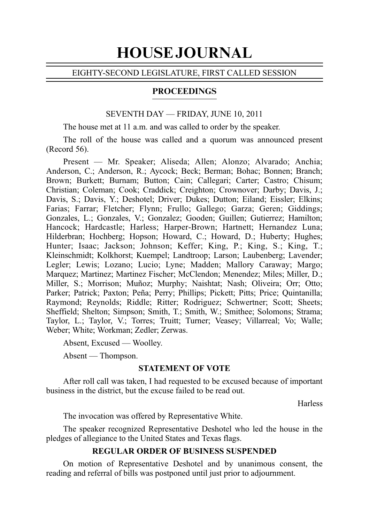# HOUSE JOURNAL

## EIGHTY-SECOND LEGISLATURE, FIRST CALLED SESSION

## PROCEEDINGS

## SEVENTH DAY — FRIDAY, JUNE 10, 2011

The house met at 11 a.m. and was called to order by the speaker.

The roll of the house was called and a quorum was announced present  $(Record 56)$ .

Present — Mr. Speaker; Aliseda; Allen; Alonzo; Alvarado; Anchia; Anderson, C.; Anderson, R.; Aycock; Beck; Berman; Bohac; Bonnen; Branch; Brown; Burkett; Burnam; Button; Cain; Callegari; Carter; Castro; Chisum; Christian; Coleman; Cook; Craddick; Creighton; Crownover; Darby; Davis, J.; Davis, S.; Davis, Y.; Deshotel; Driver; Dukes; Dutton; Eiland; Eissler; Elkins; Farias; Farrar; Fletcher; Flynn; Frullo; Gallego; Garza; Geren; Giddings; Gonzales, L.; Gonzales, V.; Gonzalez; Gooden; Guillen; Gutierrez; Hamilton; Hancock; Hardcastle; Harless; Harper-Brown; Hartnett; Hernandez Luna; Hilderbran; Hochberg; Hopson; Howard, C.; Howard, D.; Huberty; Hughes; Hunter; Isaac; Jackson; Johnson; Keffer; King, P.; King, S.; King, T.; Kleinschmidt; Kolkhorst; Kuempel; Landtroop; Larson; Laubenberg; Lavender; Legler; Lewis; Lozano; Lucio; Lyne; Madden; Mallory Caraway; Margo; Marquez; Martinez; Martinez Fischer; McClendon; Menendez; Miles; Miller, D.; Miller, S.; Morrison; Muñoz; Murphy; Naishtat; Nash; Oliveira; Orr; Otto; Parker; Patrick; Paxton; Peña; Perry; Phillips; Pickett; Pitts; Price; Quintanilla; Raymond; Reynolds; Riddle; Ritter; Rodriguez; Schwertner; Scott; Sheets; Sheffield; Shelton; Simpson; Smith, T.; Smith, W.; Smithee; Solomons; Strama; Taylor, L.; Taylor, V.; Torres; Truitt; Turner; Veasey; Villarreal; Vo; Walle; Weber; White; Workman; Zedler; Zerwas.

Absent, Excused — Woolley.

Absent — Thompson.

## **STATEMENT OF VOTE**

After roll call was taken, I had requested to be excused because of important business in the district, but the excuse failed to be read out.

**Harless** 

The invocation was offered by Representative White.

The speaker recognized Representative Deshotel who led the house in the pledges of allegiance to the United States and Texas flags.

## **REGULAR ORDER OF BUSINESS SUSPENDED**

On motion of Representative Deshotel and by unanimous consent, the reading and referral of bills was postponed until just prior to adjournment.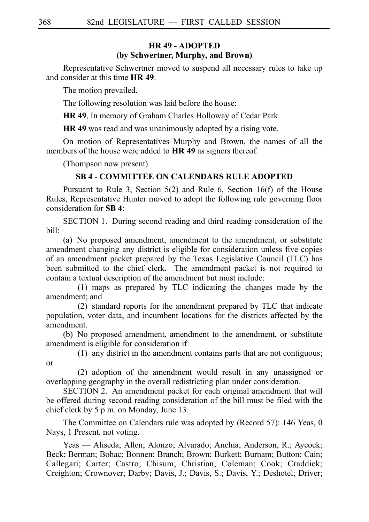# **HR 49 - ADOPTED (by Schwertner, Murphy, and Brown)**

Representative Schwertner moved to suspend all necessary rules to take up and consider at this time **HR 49**.

The motion prevailed.

The following resolution was laid before the house:

**HR 49**, In memory of Graham Charles Holloway of Cedar Park.

**HR 49** was read and was unanimously adopted by a rising vote.

On motion of Representatives Murphy and Brown, the names of all the members of the house were added to **HR 49** as signers thereof.

(Thompson now present)

## **SB 4 - COMMITTEE ON CALENDARS RULE ADOPTED**

Pursuant to Rule 3, Section 5(2) and Rule 6, Section 16(f) of the House Rules, Representative Hunter moved to adopt the following rule governing floor consideration for **SB 4**:

SECTION 1. During second reading and third reading consideration of the bill:

(a) No proposed amendment, amendment to the amendment, or substitute amendment changing any district is eligible for consideration unless five copies of an amendment packet prepared by the Texas Legislative Council (TLC) has been submitted to the chief clerk. The amendment packet is not required to contain a textual description of the amendment but must include:

 $(1)$  maps as prepared by TLC indicating the changes made by the amendment; and

(2) standard reports for the amendment prepared by TLC that indicate population, voter data, and incumbent locations for the districts affected by the amendment.

(b) No proposed amendment, amendment to the amendment, or substitute amendment is eligible for consideration if:

 $(1)$  any district in the amendment contains parts that are not contiguous; or

 $(2)$  adoption of the amendment would result in any unassigned or overlapping geography in the overall redistricting plan under consideration.

SECTION 2. An amendment packet for each original amendment that will be offered during second reading consideration of the bill must be filed with the chief clerk by 5 p.m. on Monday, June 13.

The Committee on Calendars rule was adopted by (Record 57): 146 Yeas, 0 Nays, 1 Present, not voting.

Yeas — Aliseda; Allen; Alonzo; Alvarado; Anchia; Anderson, R.; Aycock; Beck; Berman; Bohac; Bonnen; Branch; Brown; Burkett; Burnam; Button; Cain; Callegari; Carter; Castro; Chisum; Christian; Coleman; Cook; Craddick; Creighton; Crownover; Darby; Davis, J.; Davis, S.; Davis, Y.; Deshotel; Driver;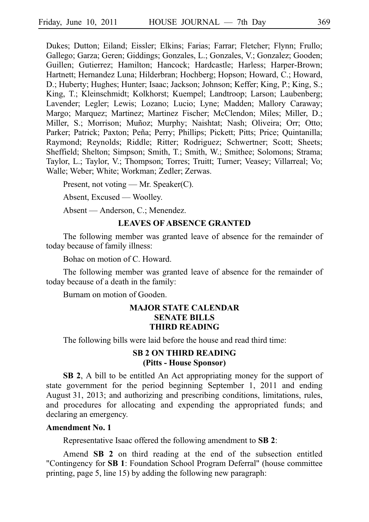Dukes; Dutton; Eiland; Eissler; Elkins; Farias; Farrar; Fletcher; Flynn; Frullo; Gallego; Garza; Geren; Giddings; Gonzales, L.; Gonzales, V.; Gonzalez; Gooden; Guillen; Gutierrez; Hamilton; Hancock; Hardcastle; Harless; Harper-Brown; Hartnett; Hernandez Luna; Hilderbran; Hochberg; Hopson; Howard, C.; Howard, D.; Huberty; Hughes; Hunter; Isaac; Jackson; Johnson; Keffer; King, P.; King, S.; King, T.; Kleinschmidt; Kolkhorst; Kuempel; Landtroop; Larson; Laubenberg; Lavender; Legler; Lewis; Lozano; Lucio; Lyne; Madden; Mallory Caraway; Margo; Marquez; Martinez; Martinez Fischer; McClendon; Miles; Miller, D.; Miller, S.; Morrison; Muñoz; Murphy; Naishtat; Nash; Oliveira; Orr; Otto; Parker; Patrick; Paxton; Peña; Perry; Phillips; Pickett; Pitts; Price; Quintanilla; Raymond; Reynolds; Riddle; Ritter; Rodriguez; Schwertner; Scott; Sheets; Sheffield; Shelton; Simpson; Smith, T.; Smith, W.; Smithee; Solomons; Strama; Taylor, L.; Taylor, V.; Thompson; Torres; Truitt; Turner; Veasey; Villarreal; Vo; Walle; Weber; White; Workman; Zedler; Zerwas.

Present, not voting — Mr. Speaker(C).

Absent, Excused — Woolley.

Absent — Anderson, C.; Menendez.

# **LEAVES OF ABSENCE GRANTED**

The following member was granted leave of absence for the remainder of today because of family illness:

Bohac on motion of C. Howard.

The following member was granted leave of absence for the remainder of today because of a death in the family:

Burnam on motion of Gooden.

# **MAJOR STATE CALENDAR SENATE BILLS THIRD READING**

The following bills were laid before the house and read third time:

# **SB 2 ON THIRD READING (Pitts - House Sponsor)**

**SB 2**, A bill to be entitled An Act appropriating money for the support of state government for the period beginning September 1, 2011 and ending August 31, 2013; and authorizing and prescribing conditions, limitations, rules, and procedures for allocating and expending the appropriated funds; and declaring an emergency.

## **Amendment No. 1**

Representative Isaac offered the following amendment to **SBi2**:

Amend **SB 2** on third reading at the end of the subsection entitled "Contingency for **SB 1**: Foundation School Program Deferral" (house committee printing, page 5, line 15) by adding the following new paragraph: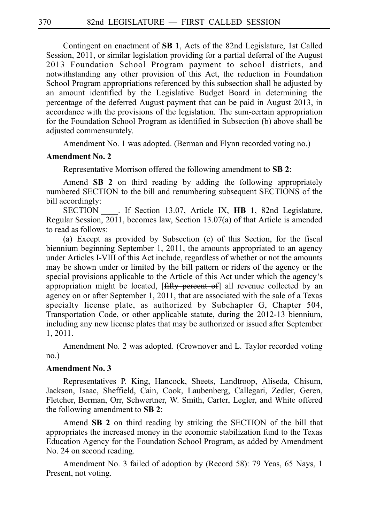Contingent on enactment of **SB 1**, Acts of the 82nd Legislature, 1st Called Session, 2011, or similar legislation providing for a partial deferral of the August 2013 Foundation School Program payment to school districts, and notwithstanding any other provision of this Act, the reduction in Foundation School Program appropriations referenced by this subsection shall be adjusted by an amount identified by the Legislative Budget Board in determining the percentage of the deferred August payment that can be paid in August 2013, in accordance with the provisions of the legislation. The sum-certain appropriation for the Foundation School Program as identified in Subsection (b) above shall be adjusted commensurately.

Amendment No. 1 was adopted. (Berman and Flynn recorded voting no.)

## **Amendment No. 2**

Representative Morrison offered the following amendment to **SB 2**:

Amend **SB 2** on third reading by adding the following appropriately numbered SECTION to the bill and renumbering subsequent SECTIONS of the bill accordingly:

SECTION For Islam 13.07, Article IX, **HB 1**, 82nd Legislature, Regular Session, 2011, becomes law, Section 13.07(a) of that Article is amended to read as follows:

(a) Except as provided by Subsection (c) of this Section, for the fiscal biennium beginning September 1, 2011, the amounts appropriated to an agency under Articles I-VIII of this Act include, regardless of whether or not the amounts may be shown under or limited by the bill pattern or riders of the agency or the special provisions applicable to the Article of this Act under which the agency's appropriation might be located, [fifty percent of] all revenue collected by an agency on or after September 1, 2011, that are associated with the sale of a Texas specialty license plate, as authorized by Subchapter G, Chapter 504, Transportation Code, or other applicable statute, during the 2012-13 biennium, including any new license plates that may be authorized or issued after September 1, 2011.

Amendment No. 2 was adopted. (Crownover and L. Taylor recorded voting no.)

# **Amendment No. 3**

Representatives P. King, Hancock, Sheets, Landtroop, Aliseda, Chisum, Jackson, Isaac, Sheffield, Cain, Cook, Laubenberg, Callegari, Zedler, Geren, Fletcher, Berman, Orr, Schwertner, W. Smith, Carter, Legler, and White offered the following amendment to **SBi2**:

Amend **SB 2** on third reading by striking the SECTION of the bill that appropriates the increased money in the economic stabilization fund to the Texas Education Agency for the Foundation School Program, as added by Amendment No. 24 on second reading.

Amendment No. 3 failed of adoption by (Record 58): 79 Yeas, 65 Nays, 1 Present, not voting.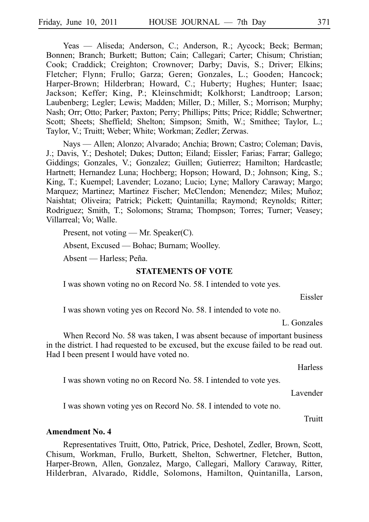Yeas — Aliseda; Anderson, C.; Anderson, R.; Aycock; Beck; Berman; Bonnen; Branch; Burkett; Button; Cain; Callegari; Carter; Chisum; Christian; Cook; Craddick; Creighton; Crownover; Darby; Davis, S.; Driver; Elkins; Fletcher; Flynn; Frullo; Garza; Geren; Gonzales, L.; Gooden; Hancock; Harper-Brown; Hilderbran; Howard, C.; Huberty; Hughes; Hunter; Isaac; Jackson; Keffer; King, P.; Kleinschmidt; Kolkhorst; Landtroop; Larson; Laubenberg; Legler; Lewis; Madden; Miller, D.; Miller, S.; Morrison; Murphy; Nash; Orr; Otto; Parker; Paxton; Perry; Phillips; Pitts; Price; Riddle; Schwertner; Scott; Sheets; Sheffield; Shelton; Simpson; Smith, W.; Smithee; Taylor, L.; Taylor, V.; Truitt; Weber; White; Workman; Zedler; Zerwas.

Nays — Allen; Alonzo; Alvarado; Anchia; Brown; Castro; Coleman; Davis, J.; Davis, Y.; Deshotel; Dukes; Dutton; Eiland; Eissler; Farias; Farrar; Gallego; Giddings; Gonzales, V.; Gonzalez; Guillen; Gutierrez; Hamilton; Hardcastle; Hartnett; Hernandez Luna; Hochberg; Hopson; Howard, D.; Johnson; King, S.; King, T.; Kuempel; Lavender; Lozano; Lucio; Lyne; Mallory Caraway; Margo; Marquez; Martinez; Martinez Fischer; McClendon; Menendez; Miles; Muñoz; Naishtat; Oliveira; Patrick; Pickett; Quintanilla; Raymond; Reynolds; Ritter; Rodriguez; Smith, T.; Solomons; Strama; Thompson; Torres; Turner; Veasey; Villarreal; Vo; Walle.

Present, not voting — Mr. Speaker(C).

Absent, Excused — Bohac; Burnam; Woolley.

Absent — Harless; Peña.

## **STATEMENTS OF VOTE**

I was shown voting no on Record No. 58. I intended to vote yes.

Eissler

I was shown voting yes on Record No. 58. I intended to vote no.

L. Gonzales

When Record No. 58 was taken, I was absent because of important business in the district. I had requested to be excused, but the excuse failed to be read out. Had I been present I would have voted no.

Harless

I was shown voting no on Record No. 58. I intended to vote yes.

Lavender

I was shown voting yes on Record No. 58. I intended to vote no.

Truitt

#### **Amendment No. 4**

Representatives Truitt, Otto, Patrick, Price, Deshotel, Zedler, Brown, Scott, Chisum, Workman, Frullo, Burkett, Shelton, Schwertner, Fletcher, Button, Harper-Brown, Allen, Gonzalez, Margo, Callegari, Mallory Caraway, Ritter, Hilderbran, Alvarado, Riddle, Solomons, Hamilton, Quintanilla, Larson,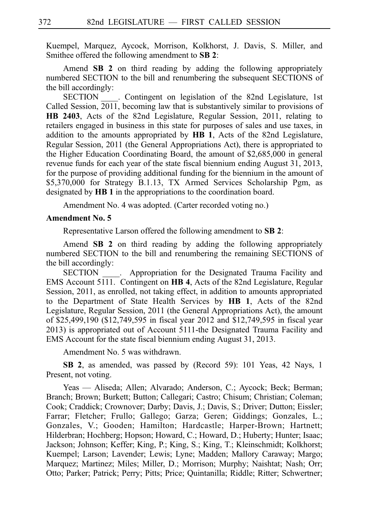Kuempel, Marquez, Aycock, Morrison, Kolkhorst, J. Davis, S. Miller, and Smithee offered the following amendment to SB 2:

Amend **SB 2** on third reading by adding the following appropriately numbered SECTION to the bill and renumbering the subsequent SECTIONS of the bill accordingly:

SECTION Contingent on legislation of the 82nd Legislature, 1st Called Session,  $\overline{2011}$ , becoming law that is substantively similar to provisions of **HB 2403**, Acts of the 82nd Legislature, Regular Session, 2011, relating to retailers engaged in business in this state for purposes of sales and use taxes, in addition to the amounts appropriated by **HB 1**, Acts of the 82nd Legislature, Regular Session, 2011 (the General Appropriations Act), there is appropriated to the Higher Education Coordinating Board, the amount of \$2,685,000 in general revenue funds for each year of the state fiscal biennium ending August 31, 2013, for the purpose of providing additional funding for the biennium in the amount of \$5,370,000 for Strategy B.1.13, TX Armed Services Scholarship Pgm, as designated by **HB 1** in the appropriations to the coordination board.

Amendment No. 4 was adopted. (Carter recorded voting no.)

#### **Amendment No. 5**

Representative Larson offered the following amendment to **SB 2**:

Amend **SB 2** on third reading by adding the following appropriately numbered SECTION to the bill and renumbering the remaining SECTIONS of the bill accordingly:

SECTION . Appropriation for the Designated Trauma Facility and EMS Account 5111. Contingent on **HB 4**, Acts of the 82nd Legislature, Regular Session, 2011, as enrolled, not taking effect, in addition to amounts appropriated to the Department of State Health Services by **HB 1**, Acts of the 82nd Legislature, Regular Session, 2011 (the General Appropriations Act), the amount of \$25,499,190 (\$12,749,595 in fiscal year 2012 and \$12,749,595 in fiscal year 2013) is appropriated out of Account 5111-the Designated Trauma Facility and EMS Account for the state fiscal biennium ending August 31, 2013.

Amendment No. 5 was withdrawn.

**SB 2**, as amended, was passed by (Record 59): 101 Yeas, 42 Nays, 1 Present, not voting.

Yeas — Aliseda; Allen; Alvarado; Anderson, C.; Aycock; Beck; Berman; Branch; Brown; Burkett; Button; Callegari; Castro; Chisum; Christian; Coleman; Cook; Craddick; Crownover; Darby; Davis, J.; Davis, S.; Driver; Dutton; Eissler; Farrar; Fletcher; Frullo; Gallego; Garza; Geren; Giddings; Gonzales, L.; Gonzales, V.; Gooden; Hamilton; Hardcastle; Harper-Brown; Hartnett; Hilderbran; Hochberg; Hopson; Howard, C.; Howard, D.; Huberty; Hunter; Isaac; Jackson; Johnson; Keffer; King, P.; King, S.; King, T.; Kleinschmidt; Kolkhorst; Kuempel; Larson; Lavender; Lewis; Lyne; Madden; Mallory Caraway; Margo; Marquez; Martinez; Miles; Miller, D.; Morrison; Murphy; Naishtat; Nash; Orr; Otto; Parker; Patrick; Perry; Pitts; Price; Quintanilla; Riddle; Ritter; Schwertner;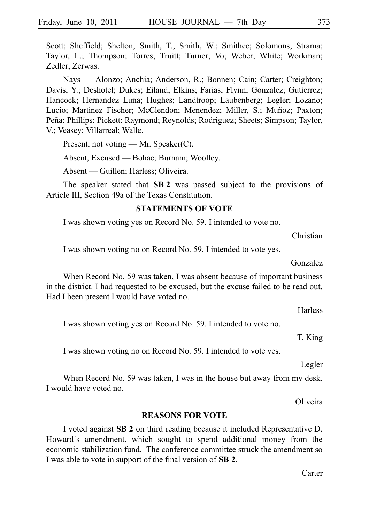Scott; Sheffield; Shelton; Smith, T.; Smith, W.; Smithee; Solomons; Strama; Taylor, L.; Thompson; Torres; Truitt; Turner; Vo; Weber; White; Workman; Zedler; Zerwas.

Nays — Alonzo; Anchia; Anderson, R.; Bonnen; Cain; Carter; Creighton; Davis, Y.; Deshotel; Dukes; Eiland; Elkins; Farias; Flynn; Gonzalez; Gutierrez; Hancock; Hernandez Luna; Hughes; Landtroop; Laubenberg; Legler; Lozano; Lucio; Martinez Fischer; McClendon; Menendez; Miller, S.; Muñoz; Paxton; Peña; Phillips; Pickett; Raymond; Reynolds; Rodriguez; Sheets; Simpson; Taylor, V.; Veasey; Villarreal; Walle.

Present, not voting — Mr. Speaker(C).

Absent, Excused — Bohac; Burnam; Woolley.

Absent — Guillen; Harless; Oliveira.

The speaker stated that **SB 2** was passed subject to the provisions of Article III, Section 49a of the Texas Constitution.

## **STATEMENTS OF VOTE**

I was shown voting yes on Record No. 59. I intended to vote no.

Christian

I was shown voting no on Record No. 59. I intended to vote yes.

Gonzalez

When Record No. 59 was taken, I was absent because of important business in the district. I had requested to be excused, but the excuse failed to be read out. Had I been present I would have voted no.

**Harless** 

I was shown voting yes on Record No. 59. I intended to vote no.

T. King

I was shown voting no on Record No. 59. I intended to vote yes.

Legler

When Record No. 59 was taken, I was in the house but away from my desk. I would have voted no.

**Oliveira** 

## **REASONS FOR VOTE**

I voted against **SBi2** on third reading because it included Representative D. Howard's amendment, which sought to spend additional money from the economic stabilization fund. The conference committee struck the amendment so I was able to vote in support of the final version of **SB 2**.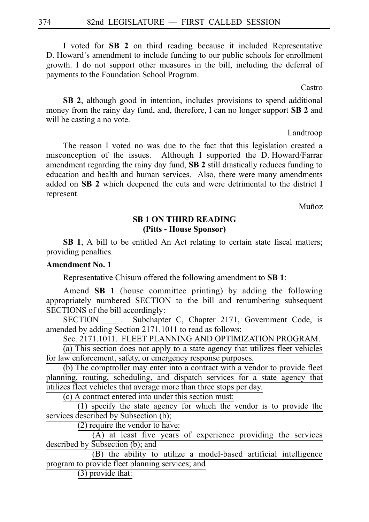I voted for **SB 2** on third reading because it included Representative D. Howard's amendment to include funding to our public schools for enrollment growth. I do not support other measures in the bill, including the deferral of payments to the Foundation School Program.

Castro

**SB 2**, although good in intention, includes provisions to spend additional money from the rainy day fund, and, therefore, I can no longer support **SB 2** and will be casting a no vote.

Landtroop

The reason I voted no was due to the fact that this legislation created a misconception of the issues. Although I supported the D. Howard/Farrar amendment regarding the rainy day fund, **SB 2** still drastically reduces funding to education and health and human services. Also, there were many amendments added on **SB 2** which deepened the cuts and were detrimental to the district I represent.

Muñoz

# **SB 1 ON THIRD READING (Pitts - House Sponsor)**

**SB 1**, A bill to be entitled An Act relating to certain state fiscal matters; providing penalties.

# **Amendment No. 1**

Representative Chisum offered the following amendment to **SBi1**:

Amend **SB 1** (house committee printing) by adding the following appropriately numbered SECTION to the bill and renumbering subsequent SECTIONS of the bill accordingly:

SECTION . Subchapter C, Chapter 2171, Government Code, is amended by adding Section 2171.1011 to read as follows:

Sec. 2171.1011. FLEET PLANNING AND OPTIMIZATION PROGRAM.

(a) This section does not apply to a state agency that utilizes fleet vehicles for law enforcement, safety, or emergency response purposes.

(b) The comptroller may enter into a contract with a vendor to provide fleet planning, routing, scheduling, and dispatch services for a state agency that utilizes fleet vehicles that average more than three stops per day.

(c) A contract entered into under this section must:

(1) specify the state agency for which the vendor is to provide the services described by Subsection (b);

(2) require the vendor to have:

(A) at least five years of experience providing the services described by Subsection (b); and

(B) the ability to utilize a model-based artificial intelligence program to provide fleet planning services; and

(3) provide that: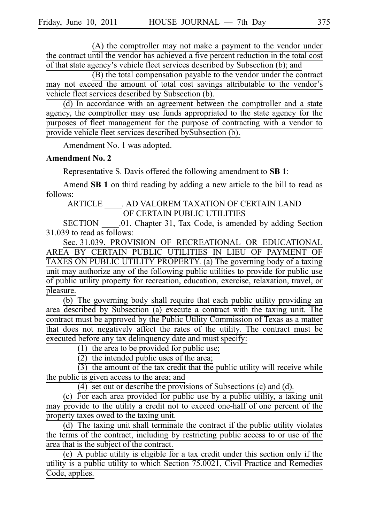(A) the comptroller may not make a payment to the vendor under the contract until the vendor has achieved a five percent reduction in the total cost of that state agency's vehicle fleet services described by Subsection (b); and

(B) the total compensation payable to the vendor under the contract may not exceed the amount of total cost savings attributable to the vendor's vehicle fleet services described by Subsection (b).

(d) In accordance with an agreement between the comptroller and a state agency, the comptroller may use funds appropriated to the state agency for the purposes of fleet management for the purpose of contracting with a vendor to provide vehicle fleet services described bySubsection (b).

Amendment No. 1 was adopted.

#### **Amendment No. 2**

Representative S. Davis offered the following amendment to **SBi1**:

Amend **SB 1** on third reading by adding a new article to the bill to read as follows:

ARTICLE \_\_\_\_. AD VALOREM TAXATION OF CERTAIN LAND OF CERTAIN PUBLIC UTILITIES

SECTION .01. Chapter 31, Tax Code, is amended by adding Section 31.039 to read as follows:

Sec. 31.039. PROVISION OF RECREATIONAL OR EDUCATIONAL AREA BY CERTAIN PUBLIC UTILITIES IN LIEU OF PAYMENT OF TAXES ON PUBLIC UTILITY PROPERTY. (a) The governing body of a taxing unit may authorize any of the following public utilities to provide for public use of public utility property for recreation, education, exercise, relaxation, travel, or pleasure.

 $\overline{(b)}$  The governing body shall require that each public utility providing an area described by Subsection (a) execute a contract with the taxing unit. The contract must be approved by the Public Utility Commission of Texas as a matter that does not negatively affect the rates of the utility. The contract must be executed before any tax delinquency date and must specify:

(1) the area to be provided for public use;

 $(2)$  the intended public uses of the area;

 $(3)$  the amount of the tax credit that the public utility will receive while the public is given access to the area; and

 $(4)$  set out or describe the provisions of Subsections (c) and (d).

(c) For each area provided for public use by a public utility, a taxing unit may provide to the utility a credit not to exceed one-half of one percent of the property taxes owed to the taxing unit.

 $(d)$  The taxing unit shall terminate the contract if the public utility violates the terms of the contract, including by restricting public access to or use of the area that is the subject of the contract.

 $(e)$  A public utility is eligible for a tax credit under this section only if the utility is a public utility to which Section 75.0021, Civil Practice and Remedies Code, applies.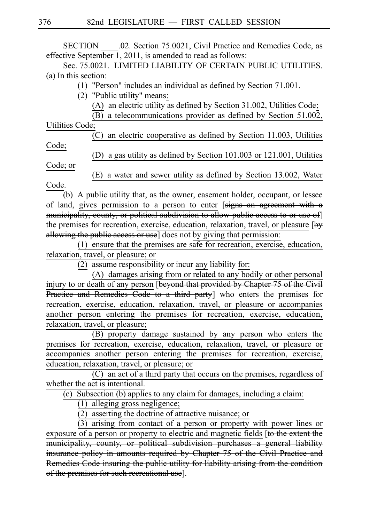SECTION .02. Section 75.0021, Civil Practice and Remedies Code, as effective September 1, 2011, is amended to read as follows:

Sec. 75.0021. LIMITED LIABILITY OF CERTAIN PUBLIC UTILITIES. (a) In this section:

 $(1)$  "Person" includes an individual as defined by Section 71.001.

(2) "Public utility" means:

(A) an electric utility as defined by Section 31.002, Utilities Code;

 $\overline{(B)}$  a telecommunications provider as defined by Section 51.002,

Utilities Code;

(C) an electric cooperative as defined by Section 11.003, Utilities Code;

(D) a gas utility as defined by Section  $101.003$  or  $121.001$ , Utilities Code; or

 $(E)$  a water and sewer utility as defined by Section 13.002, Water Code.

(b) A public utility that, as the owner, easement holder, occupant, or lessee of land, gives permission to a person to enter [signs an agreement with a municipality, county, or political subdivision to allow public access to or use of] the premises for recreation, exercise, education, relaxation, travel, or pleasure [by allowing the public access or use] does not by giving that permission:

 $(1)$  ensure that the premises are safe for recreation, exercise, education, relaxation, travel, or pleasure; or

 $(2)$  assume responsibility or incur any liability for:

(A) damages arising from or related to any bodily or other personal injury to or death of any person [beyond that provided by Chapter 75 of the Civil **Practice and Remedies Code to a third party** who enters the premises for recreation, exercise, education, relaxation, travel, or pleasure or accompanies another person entering the premises for recreation, exercise, education, relaxation, travel, or pleasure;

(B) property damage sustained by any person who enters the premises for recreation, exercise, education, relaxation, travel, or pleasure or accompanies another person entering the premises for recreation, exercise, education, relaxation, travel, or pleasure; or

(C) an act of a third party that occurs on the premises, regardless of whether the act is intentional.

 $(c)$  Subsection (b) applies to any claim for damages, including a claim:

 $(1)$  alleging gross negligence;

 $(2)$  asserting the doctrine of attractive nuisance; or

 $(3)$  arising from contact of a person or property with power lines or exposure of a person or property to electric and magnetic fields [to the extent the municipality, county, or political subdivision purchases a general liability insurance policy in amounts required by Chapter 75 of the Civil Practice Remedies Code insuring the public utility for liability arising from the condition of the premises for such recreational use].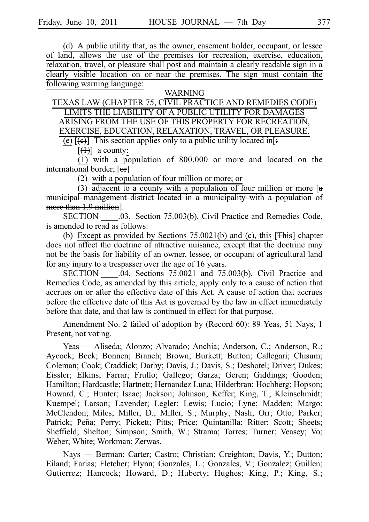(d) A public utility that, as the owner, easement holder, occupant, or lessee of land, allows the use of the premises for recreation, exercise, education, relaxation, travel, or pleasure shall post and maintain a clearly readable sign in a clearly visible location on or near the premises. The sign must contain the following warning language:

#### WARNING

TEXAS LAW (CHAPTER 75, CIVIL PRACTICE AND REMEDIES CODE) LIMITS THE LIABILITY OF A PUBLIC UTILITY FOR DAMAGES ARISING FROM THE USE OF THIS PROPERTY FOR RECREATION, EXERCISE, EDUCATION, RELAXATION, TRAVEL, OR PLEASURE.

(e)  $[\Theta]$  This section applies only to a public utility located in  $[\Theta]$ :

 $[\left(4\right)]$  a county:

 $(1)$  with a population of 800,000 or more and located on the international border; [or]

 $(2)$  with a population of four million or more; or

(3)  $\frac{1}{\text{adjacent to a county with a population of four million or more } [a]$ municipal management district located in a municipality with a population of more than 1.9 million].

SECTION .03. Section 75.003(b), Civil Practice and Remedies Code, is amended to read as follows:

(b) Except as provided by Sections  $75.0021(b)$  and (c), this  $[**This**]$  chapter does not affect the doctrine of attractive nuisance, except that the doctrine may not be the basis for liability of an owner, lessee, or occupant of agricultural land for any injury to a trespasser over the age of 16 years.

SECTION \_\_\_\_.04. Sections 75.0021 and 75.003(b), Civil Practice and Remedies Code, as amended by this article, apply only to a cause of action that accrues on or after the effective date of this Act. A cause of action that accrues before the effective date of this Act is governed by the law in effect immediately before that date, and that law is continued in effect for that purpose.

Amendment No. 2 failed of adoption by (Record 60): 89 Yeas, 51 Nays, 1 Present, not voting.

Yeas — Aliseda; Alonzo; Alvarado; Anchia; Anderson, C.; Anderson, R.; Aycock; Beck; Bonnen; Branch; Brown; Burkett; Button; Callegari; Chisum; Coleman; Cook; Craddick; Darby; Davis, J.; Davis, S.; Deshotel; Driver; Dukes; Eissler; Elkins; Farrar; Frullo; Gallego; Garza; Geren; Giddings; Gooden; Hamilton; Hardcastle; Hartnett; Hernandez Luna; Hilderbran; Hochberg; Hopson; Howard, C.; Hunter; Isaac; Jackson; Johnson; Keffer; King, T.; Kleinschmidt; Kuempel; Larson; Lavender; Legler; Lewis; Lucio; Lyne; Madden; Margo; McClendon; Miles; Miller, D.; Miller, S.; Murphy; Nash; Orr; Otto; Parker; Patrick; Peña; Perry; Pickett; Pitts; Price; Quintanilla; Ritter; Scott; Sheets; Sheffield; Shelton; Simpson; Smith, W.; Strama; Torres; Turner; Veasey; Vo; Weber; White; Workman; Zerwas.

Nays — Berman; Carter; Castro; Christian; Creighton; Davis, Y.; Dutton; Eiland; Farias; Fletcher; Flynn; Gonzales, L.; Gonzales, V.; Gonzalez; Guillen; Gutierrez; Hancock; Howard, D.; Huberty; Hughes; King, P.; King, S.;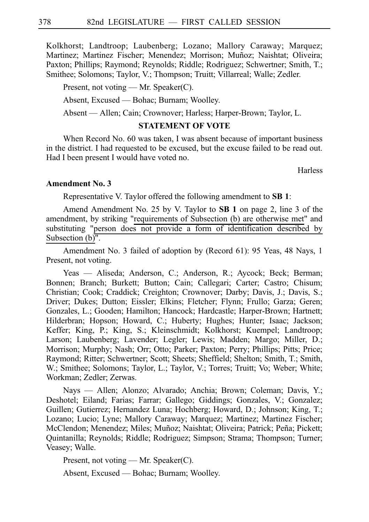Kolkhorst; Landtroop; Laubenberg; Lozano; Mallory Caraway; Marquez; Martinez; Martinez Fischer; Menendez; Morrison; Muñoz; Naishtat; Oliveira; Paxton; Phillips; Raymond; Reynolds; Riddle; Rodriguez; Schwertner; Smith, T.; Smithee; Solomons; Taylor, V.; Thompson; Truitt; Villarreal; Walle; Zedler.

Present, not voting — Mr. Speaker(C).

Absent, Excused — Bohac; Burnam; Woolley.

Absent — Allen; Cain; Crownover; Harless; Harper-Brown; Taylor, L.

## **STATEMENT OF VOTE**

When Record No. 60 was taken, I was absent because of important business in the district. I had requested to be excused, but the excuse failed to be read out. Had I been present I would have voted no.

**Harless** 

#### **Amendment No. 3**

Representative V. Taylor offered the following amendment to **SBi1**:

Amend Amendment No. 25 by V. Taylor to **SB 1** on page 2, line 3 of the amendment, by striking "requirements of Subsection (b) are otherwise met" and substituting "person does not provide a form of identification described by Subsection  $(b)$ <sup>".</sup>

Amendment No. 3 failed of adoption by (Record 61): 95 Yeas, 48 Nays, 1 Present, not voting.

Yeas — Aliseda; Anderson, C.; Anderson, R.; Aycock; Beck; Berman; Bonnen; Branch; Burkett; Button; Cain; Callegari; Carter; Castro; Chisum; Christian; Cook; Craddick; Creighton; Crownover; Darby; Davis, J.; Davis, S.; Driver; Dukes; Dutton; Eissler; Elkins; Fletcher; Flynn; Frullo; Garza; Geren; Gonzales, L.; Gooden; Hamilton; Hancock; Hardcastle; Harper-Brown; Hartnett; Hilderbran; Hopson; Howard, C.; Huberty; Hughes; Hunter; Isaac; Jackson; Keffer; King, P.; King, S.; Kleinschmidt; Kolkhorst; Kuempel; Landtroop; Larson; Laubenberg; Lavender; Legler; Lewis; Madden; Margo; Miller, D.; Morrison; Murphy; Nash; Orr; Otto; Parker; Paxton; Perry; Phillips; Pitts; Price; Raymond; Ritter; Schwertner; Scott; Sheets; Sheffield; Shelton; Smith, T.; Smith, W.; Smithee; Solomons; Taylor, L.; Taylor, V.; Torres; Truitt; Vo; Weber; White; Workman; Zedler; Zerwas.

Nays — Allen; Alonzo; Alvarado; Anchia; Brown; Coleman; Davis, Y.; Deshotel; Eiland; Farias; Farrar; Gallego; Giddings; Gonzales, V.; Gonzalez; Guillen; Gutierrez; Hernandez Luna; Hochberg; Howard, D.; Johnson; King, T.; Lozano; Lucio; Lyne; Mallory Caraway; Marquez; Martinez; Martinez Fischer; McClendon; Menendez; Miles; Muñoz; Naishtat; Oliveira; Patrick; Peña; Pickett; Quintanilla; Reynolds; Riddle; Rodriguez; Simpson; Strama; Thompson; Turner; Veasey; Walle.

Present, not voting — Mr. Speaker(C).

Absent, Excused — Bohac; Burnam; Woolley.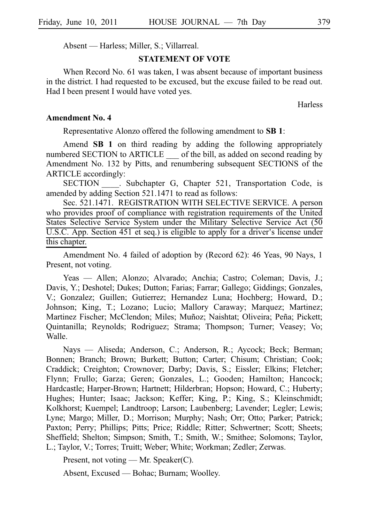Absent — Harless; Miller, S.; Villarreal.

#### **STATEMENT OF VOTE**

When Record No. 61 was taken, I was absent because of important business in the district. I had requested to be excused, but the excuse failed to be read out. Had I been present I would have voted yes.

**Harless** 

## **Amendment No. 4**

Representative Alonzo offered the following amendment to **SBi1**:

Amend **SB 1** on third reading by adding the following appropriately numbered SECTION to ARTICLE of the bill, as added on second reading by Amendment No. 132 by Pitts, and renumbering subsequent SECTIONS of the ARTICLE accordingly:

SECTION . Subchapter G, Chapter 521, Transportation Code, is amended by adding Section 521.1471 to read as follows:

Sec. 521.1471. REGISTRATION WITH SELECTIVE SERVICE. A person who provides proof of compliance with registration requirements of the United States Selective Service System under the Military Selective Service Act (50 U.S.C. App. Section 451 et seq.) is eligible to apply for a driver's license under this chapter.

Amendment No. 4 failed of adoption by (Record 62): 46 Yeas, 90 Nays, 1 Present, not voting.

Yeas — Allen; Alonzo; Alvarado; Anchia; Castro; Coleman; Davis, J.; Davis, Y.; Deshotel; Dukes; Dutton; Farias; Farrar; Gallego; Giddings; Gonzales, V.; Gonzalez; Guillen; Gutierrez; Hernandez Luna; Hochberg; Howard, D.; Johnson; King, T.; Lozano; Lucio; Mallory Caraway; Marquez; Martinez; Martinez Fischer; McClendon; Miles; Muñoz; Naishtat; Oliveira; Peña; Pickett; Quintanilla; Reynolds; Rodriguez; Strama; Thompson; Turner; Veasey; Vo; Walle.

Nays — Aliseda; Anderson, C.; Anderson, R.; Aycock; Beck; Berman; Bonnen; Branch; Brown; Burkett; Button; Carter; Chisum; Christian; Cook; Craddick; Creighton; Crownover; Darby; Davis, S.; Eissler; Elkins; Fletcher; Flynn; Frullo; Garza; Geren; Gonzales, L.; Gooden; Hamilton; Hancock; Hardcastle; Harper-Brown; Hartnett; Hilderbran; Hopson; Howard, C.; Huberty; Hughes; Hunter; Isaac; Jackson; Keffer; King, P.; King, S.; Kleinschmidt; Kolkhorst; Kuempel; Landtroop; Larson; Laubenberg; Lavender; Legler; Lewis; Lyne; Margo; Miller, D.; Morrison; Murphy; Nash; Orr; Otto; Parker; Patrick; Paxton; Perry; Phillips; Pitts; Price; Riddle; Ritter; Schwertner; Scott; Sheets; Sheffield; Shelton; Simpson; Smith, T.; Smith, W.; Smithee; Solomons; Taylor, L.; Taylor, V.; Torres; Truitt; Weber; White; Workman; Zedler; Zerwas.

Present, not voting — Mr. Speaker(C).

Absent, Excused — Bohac; Burnam; Woolley.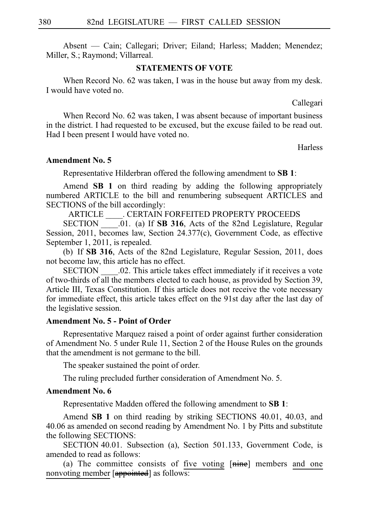Absent — Cain; Callegari; Driver; Eiland; Harless; Madden; Menendez; Miller, S.; Raymond; Villarreal.

## **STATEMENTS OF VOTE**

When Record No. 62 was taken, I was in the house but away from my desk. I would have voted no.

Callegari

When Record No. 62 was taken, I was absent because of important business in the district. I had requested to be excused, but the excuse failed to be read out. Had I been present I would have voted no.

**Harless** 

#### **Amendment No. 5**

Representative Hilderbran offered the following amendment to **SBi1**:

Amend **SB 1** on third reading by adding the following appropriately numbered ARTICLE to the bill and renumbering subsequent ARTICLES and SECTIONS of the bill accordingly:

ARTICLE \_\_\_\_. CERTAIN FORFEITED PROPERTY PROCEEDS

SECTION \_\_\_\_\_.01. (a) If **SB 316**, Acts of the 82nd Legislature, Regular Session, 2011, becomes law, Section 24.377(c), Government Code, as effective September 1, 2011, is repealed.

(b) If **SB 316**, Acts of the 82nd Legislature, Regular Session, 2011, does not become law, this article has no effect.

SECTION  $\qquad$  .02. This article takes effect immediately if it receives a vote of two-thirds of all the members elected to each house, as provided by Section 39, Article III, Texas Constitution. If this article does not receive the vote necessary for immediate effect, this article takes effect on the 91st day after the last day of the legislative session.

## **Amendment No. 5 - Point of Order**

Representative Marquez raised a point of order against further consideration of Amendment No. 5 under Rule 11, Section 2 of the House Rules on the grounds that the amendment is not germane to the bill.

The speaker sustained the point of order.

The ruling precluded further consideration of Amendment No. 5.

## **Amendment No. 6**

Representative Madden offered the following amendment to **SBi1**:

Amend **SB 1** on third reading by striking SECTIONS 40.01, 40.03, and 40.06 as amended on second reading by Amendment No. 1 by Pitts and substitute the following SECTIONS:

SECTION 40.01. Subsection (a), Section 501.133, Government Code, is amended to read as follows:

(a) The committee consists of five voting  $[\overline{\text{min}}]$  members and one nonvoting member [appointed] as follows: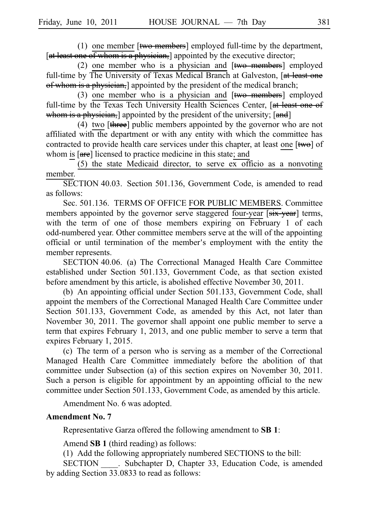(1) one member  $[$ two members] employed full-time by the department, [at least one of whom is a physician,] appointed by the executive director;

(2) one member who is a physician and  $[$ two members] employed full-time by The University of Texas Medical Branch at Galveston, [at least one of whom is a physician, appointed by the president of the medical branch;

(3) one member who is a physician and  $[$ two members $]$  employed full-time by the Texas Tech University Health Sciences Center, [at least one of whom is a physician, appointed by the president of the university; [and]

(4) two  $[\frac{t \text{hree}}{\text{t}]}$  public members appointed by the governor who are not affiliated with the department or with any entity with which the committee has contracted to provide health care services under this chapter, at least one  $[\mathbf{tw}\Theta]$  of whom is [are] licensed to practice medicine in this state; and

(5) the state Medicaid director, to serve  $\overline{ex}$  officio as a nonvoting member.

SECTION 40.03. Section 501.136, Government Code, is amended to read as follows:

Sec. 501.136. TERMS OF OFFICE FOR PUBLIC MEMBERS. Committee members appointed by the governor serve staggered four-year [six-year] terms, with the term of one of those members expiring on February 1 of each odd-numbered year. Other committee members serve at the will of the appointing official or until termination of the member's employment with the entity the member represents.

SECTION 40.06. (a) The Correctional Managed Health Care Committee established under Section 501.133, Government Code, as that section existed before amendment by this article, is abolished effective November 30, 2011.

(b) An appointing official under Section  $501.133$ , Government Code, shall appoint the members of the Correctional Managed Health Care Committee under Section 501.133, Government Code, as amended by this Act, not later than November 30, 2011. The governor shall appoint one public member to serve a term that expires February 1, 2013, and one public member to serve a term that expires February 1, 2015.

(c) The term of a person who is serving as a member of the Correctional Managed Health Care Committee immediately before the abolition of that committee under Subsection (a) of this section expires on November 30, 2011. Such a person is eligible for appointment by an appointing official to the new committee under Section 501.133, Government Code, as amended by this article.

Amendment No. 6 was adopted.

## **Amendment No. 7**

Representative Garza offered the following amendment to **SBi1**:

Amend **SB 1** (third reading) as follows:

(1) Add the following appropriately numbered SECTIONS to the bill:

SECTION \_\_\_\_\_. Subchapter D, Chapter 33, Education Code, is amended by adding Section 33.0833 to read as follows: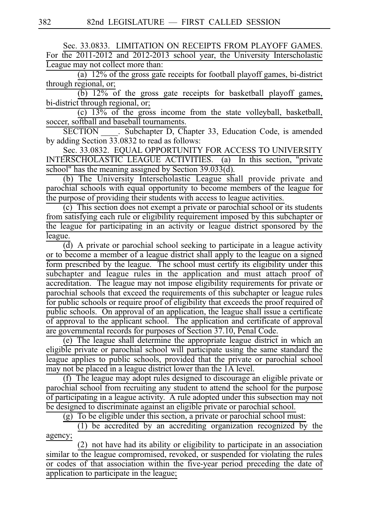Sec. 33.0833. LIMITATION ON RECEIPTS FROM PLAYOFF GAMES. For the 2011-2012 and 2012-2013 school year, the University Interscholastic League may not collect more than:

(a)  $12\%$  of the gross gate receipts for football playoff games, bi-district through regional, or;

 $\overline{(b)}$   $\overline{12\%}$  of the gross gate receipts for basketball playoff games, bi-district through regional, or;

 $\overline{(c)}$   $\overline{13\%}$  of the gross income from the state volleyball, basketball, soccer, softball and baseball tournaments.

SECTION . Subchapter D, Chapter 33, Education Code, is amended by adding Section  $\overline{33.0832}$  to read as follows:

Sec. 33.0832. EQUAL OPPORTUNITY FOR ACCESS TO UNIVERSITY INTERSCHOLASTIC LEAGUE ACTIVITIES. (a) In this section, "private school" has the meaning assigned by Section 39.033(d).

(b) The University Interscholastic League shall provide private and parochial schools with equal opportunity to become members of the league for the purpose of providing their students with access to league activities.

 $(c)$  This section does not exempt a private or parochial school or its students from satisfying each rule or eligibility requirement imposed by this subchapter or the league for participating in an activity or league district sponsored by the league.

 $\overline{d}$ ) A private or parochial school seeking to participate in a league activity or to become a member of a league district shall apply to the league on a signed form prescribed by the league. The school must certify its eligibility under this subchapter and league rules in the application and must attach proof of accreditation. The league may not impose eligibility requirements for private or parochial schools that exceed the requirements of this subchapter or league rules for public schools or require proof of eligibility that exceeds the proof required of public schools. On approval of an application, the league shall issue a certificate of approval to the applicant school. The application and certificate of approval are governmental records for purposes of Section 37.10, Penal Code.

(e) The league shall determine the appropriate league district in which an eligible private or parochial school will participate using the same standard the league applies to public schools, provided that the private or parochial school may not be placed in a league district lower than the 1A level.

(f) The league may adopt rules designed to discourage an eligible private or parochial school from recruiting any student to attend the school for the purpose of participating in a league activity. A rule adopted under this subsection may not be designed to discriminate against an eligible private or parochial school.

 $(g)$  To be eligible under this section, a private or parochial school must:

 $(1)$  be accredited by an accrediting organization recognized by the agency;

 $(2)$  not have had its ability or eligibility to participate in an association similar to the league compromised, revoked, or suspended for violating the rules or codes of that association within the five-year period preceding the date of application to participate in the league;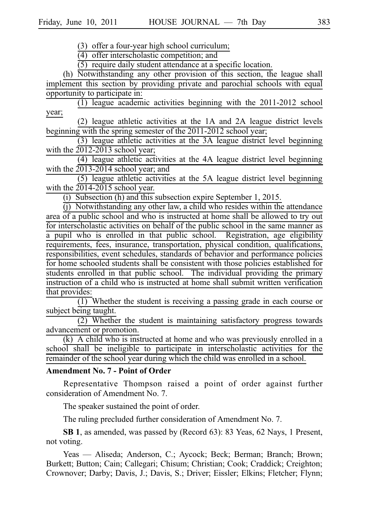$(3)$  offer a four-year high school curriculum;

 $(4)$  offer interscholastic competition; and

 $(5)$  require daily student attendance at a specific location.

 $(h)$  Notwithstanding any other provision of this section, the league shall implement this section by providing private and parochial schools with equal opportunity to participate in:

 $(1)$  league academic activities beginning with the 2011-2012 school year;

 $(2)$  league athletic activities at the 1A and 2A league district levels beginning with the spring semester of the 2011-2012 school year;

(3) league athletic activities at the 3A league district level beginning with the 2012-2013 school year;

 $(4)$  league athletic activities at the 4A league district level beginning with the  $2013-2014$  school year; and

 $(5)$  league athletic activities at the 5A league district level beginning with the  $2014-2015$  school year.

(i) Subsection (h) and this subsection expire September 1, 2015.

 $(i)$  Notwithstanding any other law, a child who resides within the attendance area of a public school and who is instructed at home shall be allowed to try out for interscholastic activities on behalf of the public school in the same manner as a pupil who is enrolled in that public school. Registration, age eligibility requirements, fees, insurance, transportation, physical condition, qualifications, responsibilities, event schedules, standards of behavior and performance policies for home schooled students shall be consistent with those policies established for students enrolled in that public school. The individual providing the primary instruction of a child who is instructed at home shall submit written verification that provides:

 $\overline{(1)}$  Whether the student is receiving a passing grade in each course or subject being taught.

 $(2)$  Whether the student is maintaining satisfactory progress towards advancement or promotion.

 $(k)$  A child who is instructed at home and who was previously enrolled in a school shall be ineligible to participate in interscholastic activities for the remainder of the school year during which the child was enrolled in a school.

## **Amendment No. 7 - Point of Order**

Representative Thompson raised a point of order against further consideration of Amendment No. 7.

The speaker sustained the point of order.

The ruling precluded further consideration of Amendment No. 7.

**SB 1**, as amended, was passed by (Record 63): 83 Yeas, 62 Nays, 1 Present, not voting.

Yeas — Aliseda; Anderson, C.; Aycock; Beck; Berman; Branch; Brown; Burkett; Button; Cain; Callegari; Chisum; Christian; Cook; Craddick; Creighton; Crownover; Darby; Davis, J.; Davis, S.; Driver; Eissler; Elkins; Fletcher; Flynn;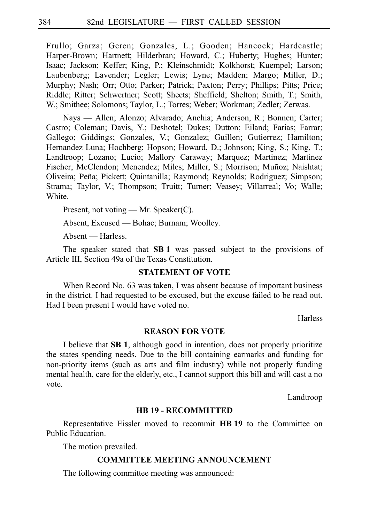Frullo; Garza; Geren; Gonzales, L.; Gooden; Hancock; Hardcastle; Harper-Brown; Hartnett; Hilderbran; Howard, C.; Huberty; Hughes; Hunter; Isaac; Jackson; Keffer; King, P.; Kleinschmidt; Kolkhorst; Kuempel; Larson; Laubenberg; Lavender; Legler; Lewis; Lyne; Madden; Margo; Miller, D.; Murphy; Nash; Orr; Otto; Parker; Patrick; Paxton; Perry; Phillips; Pitts; Price; Riddle; Ritter; Schwertner; Scott; Sheets; Sheffield; Shelton; Smith, T.; Smith, W.; Smithee; Solomons; Taylor, L.; Torres; Weber; Workman; Zedler; Zerwas.

Nays — Allen; Alonzo; Alvarado; Anchia; Anderson, R.; Bonnen; Carter; Castro; Coleman; Davis, Y.; Deshotel; Dukes; Dutton; Eiland; Farias; Farrar; Gallego; Giddings; Gonzales, V.; Gonzalez; Guillen; Gutierrez; Hamilton; Hernandez Luna; Hochberg; Hopson; Howard, D.; Johnson; King, S.; King, T.; Landtroop; Lozano; Lucio; Mallory Caraway; Marquez; Martinez; Martinez Fischer; McClendon; Menendez; Miles; Miller, S.; Morrison; Muñoz; Naishtat; Oliveira; Peña; Pickett; Quintanilla; Raymond; Reynolds; Rodriguez; Simpson; Strama; Taylor, V.; Thompson; Truitt; Turner; Veasey; Villarreal; Vo; Walle; **White** 

Present, not voting — Mr. Speaker(C).

Absent, Excused — Bohac; Burnam; Woolley.

Absent — Harless.

The speaker stated that **SB1** was passed subject to the provisions of Article III, Section 49a of the Texas Constitution.

## **STATEMENT OF VOTE**

When Record No. 63 was taken, I was absent because of important business in the district. I had requested to be excused, but the excuse failed to be read out. Had I been present I would have voted no.

**Harless** 

## **REASON FOR VOTE**

I believe that **SB 1**, although good in intention, does not properly prioritize the states spending needs. Due to the bill containing earmarks and funding for non-priority items (such as arts and film industry) while not properly funding mental health, care for the elderly, etc., I cannot support this bill and will cast a no vote.

Landtroop

#### **HB 19 - RECOMMITTED**

Representative Eissler moved to recommit **HBi19** to the Committee on Public Education.

The motion prevailed.

## **COMMITTEE MEETING ANNOUNCEMENT**

The following committee meeting was announced: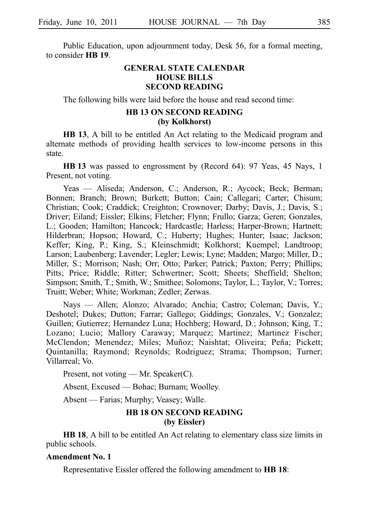Public Education, upon adjournment today, Desk 56, for a formal meeting, to consider **HBi19**.

## **GENERAL STATE CALENDAR HOUSE BILLS SECOND READING**

The following bills were laid before the house and read second time:

# **HB 13 ON SECOND READING (by Kolkhorst)**

**HB 13**, A bill to be entitled An Act relating to the Medicaid program and alternate methods of providing health services to low-income persons in this state.

**HBi13** was passed to engrossment by (Record 64): 97 Yeas, 45 Nays, 1 Present, not voting.

Yeas — Aliseda; Anderson, C.; Anderson, R.; Aycock; Beck; Berman; Bonnen; Branch; Brown; Burkett; Button; Cain; Callegari; Carter; Chisum; Christian; Cook; Craddick; Creighton; Crownover; Darby; Davis, J.; Davis, S.; Driver; Eiland; Eissler; Elkins; Fletcher; Flynn; Frullo; Garza; Geren; Gonzales, L.; Gooden; Hamilton; Hancock; Hardcastle; Harless; Harper-Brown; Hartnett; Hilderbran; Hopson; Howard, C.; Huberty; Hughes; Hunter; Isaac; Jackson; Keffer; King, P.; King, S.; Kleinschmidt; Kolkhorst; Kuempel; Landtroop; Larson; Laubenberg; Lavender; Legler; Lewis; Lyne; Madden; Margo; Miller, D.; Miller, S.; Morrison; Nash; Orr; Otto; Parker; Patrick; Paxton; Perry; Phillips; Pitts; Price; Riddle; Ritter; Schwertner; Scott; Sheets; Sheffield; Shelton; Simpson; Smith, T.; Smith, W.; Smithee; Solomons; Taylor, L.; Taylor, V.; Torres; Truitt; Weber; White; Workman; Zedler; Zerwas.

Nays — Allen; Alonzo; Alvarado; Anchia; Castro; Coleman; Davis, Y.; Deshotel; Dukes; Dutton; Farrar; Gallego; Giddings; Gonzales, V.; Gonzalez; Guillen; Gutierrez; Hernandez Luna; Hochberg; Howard, D.; Johnson; King, T.; Lozano; Lucio; Mallory Caraway; Marquez; Martinez; Martinez Fischer; McClendon; Menendez; Miles; Muñoz; Naishtat; Oliveira; Peña; Pickett; Quintanilla; Raymond; Reynolds; Rodriguez; Strama; Thompson; Turner; Villarreal; Vo.

Present, not voting — Mr. Speaker(C).

Absent, Excused — Bohac; Burnam; Woolley.

Absent — Farias; Murphy; Veasey; Walle.

# **HB 18 ON SECOND READING (by Eissler)**

**HB 18**, A bill to be entitled An Act relating to elementary class size limits in public schools.

## **Amendment No. 1**

Representative Eissler offered the following amendment to **HB 18**: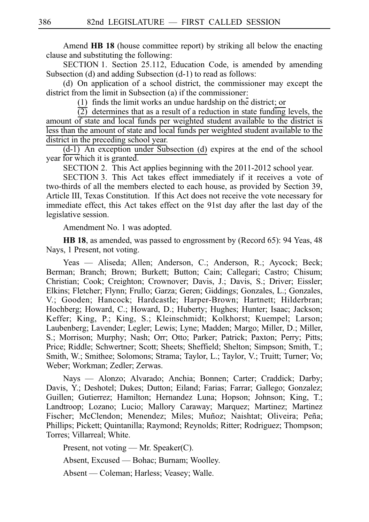Amend **HB 18** (house committee report) by striking all below the enacting clause and substituting the following:

SECTION 1. Section 25.112, Education Code, is amended by amending Subsection (d) and adding Subsection (d-1) to read as follows:

(d) On application of a school district, the commissioner may except the district from the limit in Subsection (a) if the commissioner:

 $(1)$  finds the limit works an undue hardship on the district; or

 $\overline{(2)}$  determines that as a result of a reduction in state funding levels, the amount of state and local funds per weighted student available to the district is less than the amount of state and local funds per weighted student available to the district in the preceding school year.

 $(d-1)$  An exception under Subsection (d) expires at the end of the school year for which it is granted.

SECTION 2. This Act applies beginning with the 2011-2012 school year.

SECTION 3. This Act takes effect immediately if it receives a vote of two-thirds of all the members elected to each house, as provided by Section 39, Article III, Texas Constitution. If this Act does not receive the vote necessary for immediate effect, this Act takes effect on the 91st day after the last day of the legislative session.

Amendment No. 1 was adopted.

**HB 18**, as amended, was passed to engrossment by (Record 65): 94 Yeas, 48 Nays, 1 Present, not voting.

Yeas — Aliseda; Allen; Anderson, C.; Anderson, R.; Aycock; Beck; Berman; Branch; Brown; Burkett; Button; Cain; Callegari; Castro; Chisum; Christian; Cook; Creighton; Crownover; Davis, J.; Davis, S.; Driver; Eissler; Elkins; Fletcher; Flynn; Frullo; Garza; Geren; Giddings; Gonzales, L.; Gonzales, V.; Gooden; Hancock; Hardcastle; Harper-Brown; Hartnett; Hilderbran; Hochberg; Howard, C.; Howard, D.; Huberty; Hughes; Hunter; Isaac; Jackson; Keffer; King, P.; King, S.; Kleinschmidt; Kolkhorst; Kuempel; Larson; Laubenberg; Lavender; Legler; Lewis; Lyne; Madden; Margo; Miller, D.; Miller, S.; Morrison; Murphy; Nash; Orr; Otto; Parker; Patrick; Paxton; Perry; Pitts; Price; Riddle; Schwertner; Scott; Sheets; Sheffield; Shelton; Simpson; Smith, T.; Smith, W.; Smithee; Solomons; Strama; Taylor, L.; Taylor, V.; Truitt; Turner; Vo; Weber; Workman; Zedler; Zerwas.

Nays — Alonzo; Alvarado; Anchia; Bonnen; Carter; Craddick; Darby; Davis, Y.; Deshotel; Dukes; Dutton; Eiland; Farias; Farrar; Gallego; Gonzalez; Guillen; Gutierrez; Hamilton; Hernandez Luna; Hopson; Johnson; King, T.; Landtroop; Lozano; Lucio; Mallory Caraway; Marquez; Martinez; Martinez Fischer; McClendon; Menendez; Miles; Muñoz; Naishtat; Oliveira; Peña; Phillips; Pickett; Quintanilla; Raymond; Reynolds; Ritter; Rodriguez; Thompson; Torres; Villarreal; White.

Present, not voting — Mr. Speaker(C).

Absent, Excused — Bohac; Burnam; Woolley.

Absent — Coleman; Harless; Veasey; Walle.